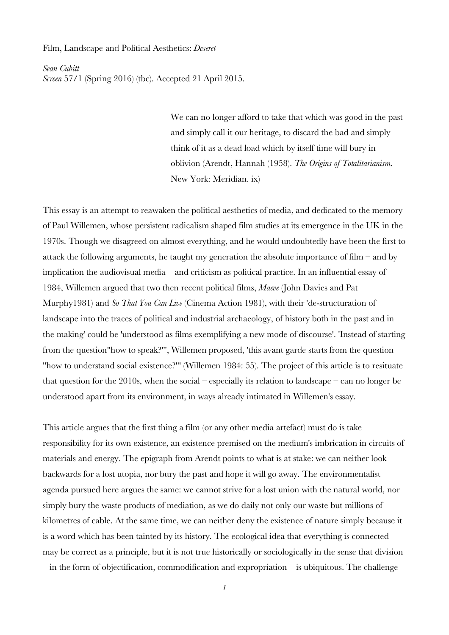## Film, Landscape and Political Aesthetics: *Deseret*

*Sean Cubitt Screen* 57/1 (Spring 2016) (tbc). Accepted 21 April 2015.

> We can no longer afford to take that which was good in the past and simply call it our heritage, to discard the bad and simply think of it as a dead load which by itself time will bury in oblivion (Arendt, Hannah (1958). *The Origins of Totalitarianism*. New York: Meridian. ix)

This essay is an attempt to reawaken the political aesthetics of media, and dedicated to the memory of Paul Willemen, whose persistent radicalism shaped film studies at its emergence in the UK in the 1970s. Though we disagreed on almost everything, and he would undoubtedly have been the first to attack the following arguments, he taught my generation the absolute importance of film – and by implication the audiovisual media – and criticism as political practice. In an influential essay of 1984, Willemen argued that two then recent political films, *Maeve* (John Davies and Pat Murphy1981) and *So That You Can Live* (Cinema Action 1981), with their 'de-structuration of landscape into the traces of political and industrial archaeology, of history both in the past and in the making' could be 'understood as films exemplifying a new mode of discourse'. 'Instead of starting from the question"how to speak?"', Willemen proposed, 'this avant garde starts from the question "how to understand social existence?"' (Willemen 1984: 55). The project of this article is to resituate that question for the 2010s, when the social – especially its relation to landscape – can no longer be understood apart from its environment, in ways already intimated in Willemen's essay.

This article argues that the first thing a film (or any other media artefact) must do is take responsibility for its own existence, an existence premised on the medium's imbrication in circuits of materials and energy. The epigraph from Arendt points to what is at stake: we can neither look backwards for a lost utopia, nor bury the past and hope it will go away. The environmentalist agenda pursued here argues the same: we cannot strive for a lost union with the natural world, nor simply bury the waste products of mediation, as we do daily not only our waste but millions of kilometres of cable. At the same time, we can neither deny the existence of nature simply because it is a word which has been tainted by its history. The ecological idea that everything is connected may be correct as a principle, but it is not true historically or sociologically in the sense that division  $-$  in the form of objectification, commodification and expropriation  $-$  is ubiquitous. The challenge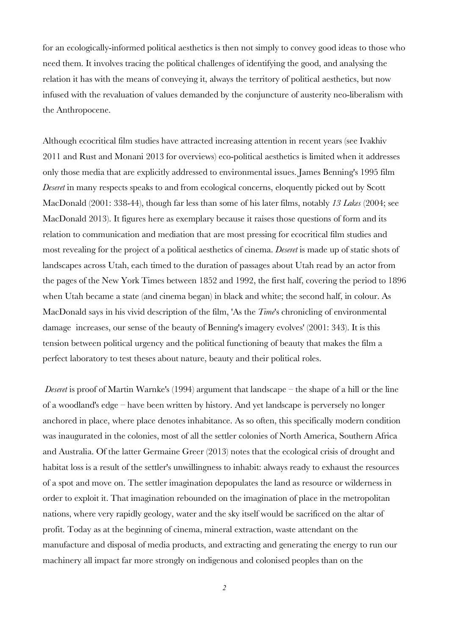for an ecologically-informed political aesthetics is then not simply to convey good ideas to those who need them. It involves tracing the political challenges of identifying the good, and analysing the relation it has with the means of conveying it, always the territory of political aesthetics, but now infused with the revaluation of values demanded by the conjuncture of austerity neo-liberalism with the Anthropocene.

Although ecocritical film studies have attracted increasing attention in recent years (see Ivakhiv 2011 and Rust and Monani 2013 for overviews) eco-political aesthetics is limited when it addresses only those media that are explicitly addressed to environmental issues. James Benning's 1995 film *Deseret* in many respects speaks to and from ecological concerns, eloquently picked out by Scott MacDonald (2001: 338-44), though far less than some of his later films, notably *13 Lakes* (2004; see MacDonald 2013). It figures here as exemplary because it raises those questions of form and its relation to communication and mediation that are most pressing for ecocritical film studies and most revealing for the project of a political aesthetics of cinema. *Deseret* is made up of static shots of landscapes across Utah, each timed to the duration of passages about Utah read by an actor from the pages of the New York Times between 1852 and 1992, the first half, covering the period to 1896 when Utah became a state (and cinema began) in black and white; the second half, in colour. As MacDonald says in his vivid description of the film, 'As the *Time*'s chronicling of environmental damage increases, our sense of the beauty of Benning's imagery evolves' (2001: 343). It is this tension between political urgency and the political functioning of beauty that makes the film a perfect laboratory to test theses about nature, beauty and their political roles.

*Deseret* is proof of Martin Warnke's (1994) argument that landscape – the shape of a hill or the line of a woodland's edge – have been written by history. And yet landscape is perversely no longer anchored in place, where place denotes inhabitance. As so often, this specifically modern condition was inaugurated in the colonies, most of all the settler colonies of North America, Southern Africa and Australia. Of the latter Germaine Greer (2013) notes that the ecological crisis of drought and habitat loss is a result of the settler's unwillingness to inhabit: always ready to exhaust the resources of a spot and move on. The settler imagination depopulates the land as resource or wilderness in order to exploit it. That imagination rebounded on the imagination of place in the metropolitan nations, where very rapidly geology, water and the sky itself would be sacrificed on the altar of profit. Today as at the beginning of cinema, mineral extraction, waste attendant on the manufacture and disposal of media products, and extracting and generating the energy to run our machinery all impact far more strongly on indigenous and colonised peoples than on the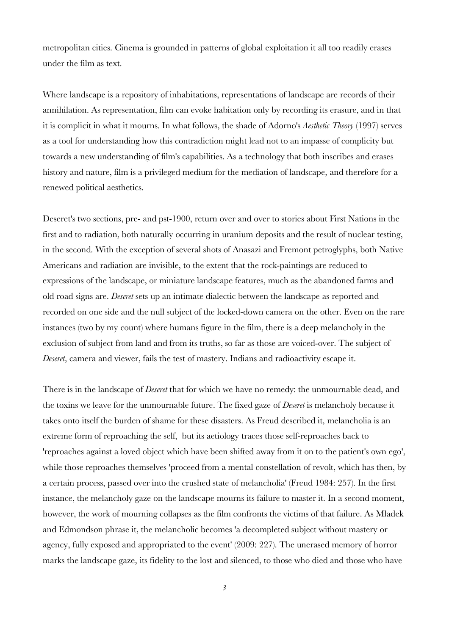metropolitan cities. Cinema is grounded in patterns of global exploitation it all too readily erases under the film as text.

Where landscape is a repository of inhabitations, representations of landscape are records of their annihilation. As representation, film can evoke habitation only by recording its erasure, and in that it is complicit in what it mourns. In what follows, the shade of Adorno's *Aesthetic Theory* (1997) serves as a tool for understanding how this contradiction might lead not to an impasse of complicity but towards a new understanding of film's capabilities. As a technology that both inscribes and erases history and nature, film is a privileged medium for the mediation of landscape, and therefore for a renewed political aesthetics.

Deseret's two sections, pre- and pst-1900, return over and over to stories about First Nations in the first and to radiation, both naturally occurring in uranium deposits and the result of nuclear testing, in the second. With the exception of several shots of Anasazi and Fremont petroglyphs, both Native Americans and radiation are invisible, to the extent that the rock-paintings are reduced to expressions of the landscape, or miniature landscape features, much as the abandoned farms and old road signs are. *Deseret* sets up an intimate dialectic between the landscape as reported and recorded on one side and the null subject of the locked-down camera on the other. Even on the rare instances (two by my count) where humans figure in the film, there is a deep melancholy in the exclusion of subject from land and from its truths, so far as those are voiced-over. The subject of *Deseret*, camera and viewer, fails the test of mastery. Indians and radioactivity escape it.

There is in the landscape of *Deseret* that for which we have no remedy: the unmournable dead, and the toxins we leave for the unmournable future. The fixed gaze of *Deseret* is melancholy because it takes onto itself the burden of shame for these disasters. As Freud described it, melancholia is an extreme form of reproaching the self, but its aetiology traces those self-reproaches back to 'reproaches against a loved object which have been shifted away from it on to the patient's own ego', while those reproaches themselves 'proceed from a mental constellation of revolt, which has then, by a certain process, passed over into the crushed state of melancholia' (Freud 1984: 257). In the first instance, the melancholy gaze on the landscape mourns its failure to master it. In a second moment, however, the work of mourning collapses as the film confronts the victims of that failure. As Mladek and Edmondson phrase it, the melancholic becomes 'a decompleted subject without mastery or agency, fully exposed and appropriated to the event' (2009: 227). The unerased memory of horror marks the landscape gaze, its fidelity to the lost and silenced, to those who died and those who have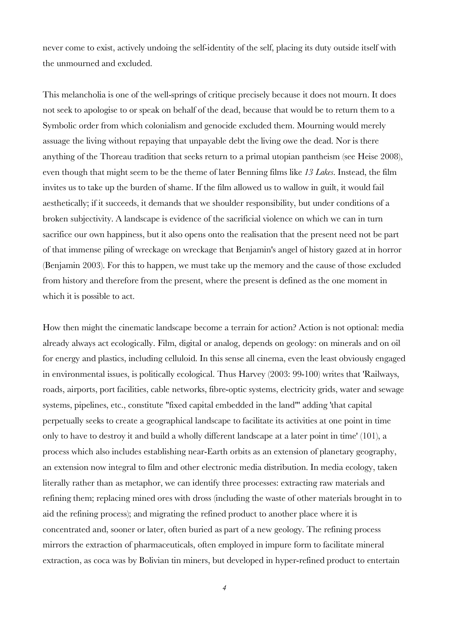never come to exist, actively undoing the self-identity of the self, placing its duty outside itself with the unmourned and excluded.

This melancholia is one of the well-springs of critique precisely because it does not mourn. It does not seek to apologise to or speak on behalf of the dead, because that would be to return them to a Symbolic order from which colonialism and genocide excluded them. Mourning would merely assuage the living without repaying that unpayable debt the living owe the dead. Nor is there anything of the Thoreau tradition that seeks return to a primal utopian pantheism (see Heise 2008), even though that might seem to be the theme of later Benning films like *13 Lakes*. Instead, the film invites us to take up the burden of shame. If the film allowed us to wallow in guilt, it would fail aesthetically; if it succeeds, it demands that we shoulder responsibility, but under conditions of a broken subjectivity. A landscape is evidence of the sacrificial violence on which we can in turn sacrifice our own happiness, but it also opens onto the realisation that the present need not be part of that immense piling of wreckage on wreckage that Benjamin's angel of history gazed at in horror (Benjamin 2003). For this to happen, we must take up the memory and the cause of those excluded from history and therefore from the present, where the present is defined as the one moment in which it is possible to act.

How then might the cinematic landscape become a terrain for action? Action is not optional: media already always act ecologically. Film, digital or analog, depends on geology: on minerals and on oil for energy and plastics, including celluloid. In this sense all cinema, even the least obviously engaged in environmental issues, is politically ecological. Thus Harvey (2003: 99-100) writes that 'Railways, roads, airports, port facilities, cable networks, fibre-optic systems, electricity grids, water and sewage systems, pipelines, etc., constitute "fixed capital embedded in the land"' adding 'that capital perpetually seeks to create a geographical landscape to facilitate its activities at one point in time only to have to destroy it and build a wholly different landscape at a later point in time' (101), a process which also includes establishing near-Earth orbits as an extension of planetary geography, an extension now integral to film and other electronic media distribution. In media ecology, taken literally rather than as metaphor, we can identify three processes: extracting raw materials and refining them; replacing mined ores with dross (including the waste of other materials brought in to aid the refining process); and migrating the refined product to another place where it is concentrated and, sooner or later, often buried as part of a new geology. The refining process mirrors the extraction of pharmaceuticals, often employed in impure form to facilitate mineral extraction, as coca was by Bolivian tin miners, but developed in hyper-refined product to entertain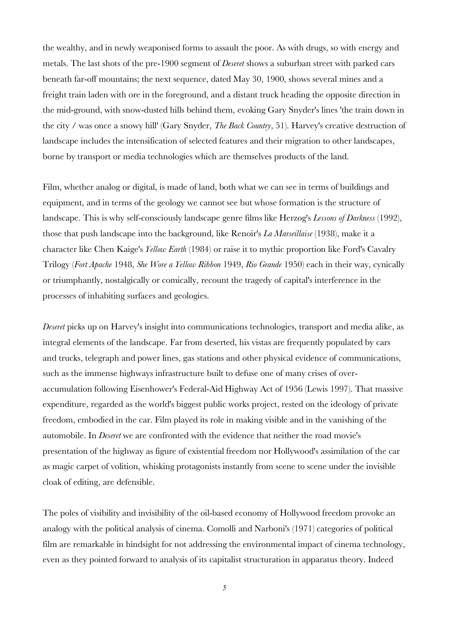the wealthy, and in newly weaponised forms to assault the poor. As with drugs, so with energy and metals. The last shots of the pre-1900 segment of *Deseret* shows a suburban street with parked cars beneath far-off mountains; the next sequence, dated May 30, 1900, shows several mines and a freight train laden with ore in the foreground, and a distant truck heading the opposite direction in the mid-ground, with snow-dusted hills behind them, evoking Gary Snyder's lines 'the train down in the city / was once a snowy hill' (Gary Snyder, *The Back Country*, 51). Harvey's creative destruction of landscape includes the intensification of selected features and their migration to other landscapes, borne by transport or media technologies which are themselves products of the land.

Film, whether analog or digital, is made of land, both what we can see in terms of buildings and equipment, and in terms of the geology we cannot see but whose formation is the structure of landscape. This is why self-consciously landscape genre films like Herzog's *Lessons of Darkness* (1992), those that push landscape into the background, like Renoir's *La Marseillaise* (1938), make it a character like Chen Kaige's *Yellow Earth* (1984) or raise it to mythic proportion like Ford's Cavalry Trilogy (*Fort Apache* 1948, *She Wore a Yellow Ribbon* 1949, *Rio Grande* 1950) each in their way, cynically or triumphantly, nostalgically or comically, recount the tragedy of capital's interference in the processes of inhabiting surfaces and geologies.

*Deseret* picks up on Harvey's insight into communications technologies, transport and media alike, as integral elements of the landscape. Far from deserted, his vistas are frequently populated by cars and trucks, telegraph and power lines, gas stations and other physical evidence of communications, such as the immense highways infrastructure built to defuse one of many crises of overaccumulation following Eisenhower's Federal-Aid Highway Act of 1956 (Lewis 1997). That massive expenditure, regarded as the world's biggest public works project, rested on the ideology of private freedom, embodied in the car. Film played its role in making visible and in the vanishing of the automobile. In *Deseret* we are confronted with the evidence that neither the road movie's presentation of the highway as figure of existential freedom nor Hollywood's assimilation of the car as magic carpet of volition, whisking protagonists instantly from scene to scene under the invisible cloak of editing, are defensible.

The poles of visibility and invisibility of the oil-based economy of Hollywood freedom provoke an analogy with the political analysis of cinema. Comolli and Narboni's (1971) categories of political film are remarkable in hindsight for not addressing the environmental impact of cinema technology, even as they pointed forward to analysis of its capitalist structuration in apparatus theory. Indeed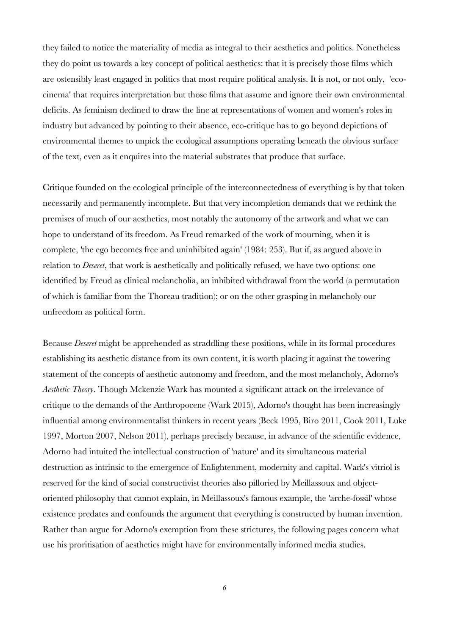they failed to notice the materiality of media as integral to their aesthetics and politics. Nonetheless they do point us towards a key concept of political aesthetics: that it is precisely those films which are ostensibly least engaged in politics that most require political analysis. It is not, or not only, 'ecocinema' that requires interpretation but those films that assume and ignore their own environmental deficits. As feminism declined to draw the line at representations of women and women's roles in industry but advanced by pointing to their absence, eco-critique has to go beyond depictions of environmental themes to unpick the ecological assumptions operating beneath the obvious surface of the text, even as it enquires into the material substrates that produce that surface.

Critique founded on the ecological principle of the interconnectedness of everything is by that token necessarily and permanently incomplete. But that very incompletion demands that we rethink the premises of much of our aesthetics, most notably the autonomy of the artwork and what we can hope to understand of its freedom. As Freud remarked of the work of mourning, when it is complete, 'the ego becomes free and uninhibited again' (1984: 253). But if, as argued above in relation to *Deseret*, that work is aesthetically and politically refused, we have two options: one identified by Freud as clinical melancholia, an inhibited withdrawal from the world (a permutation of which is familiar from the Thoreau tradition); or on the other grasping in melancholy our unfreedom as political form.

Because *Deseret* might be apprehended as straddling these positions, while in its formal procedures establishing its aesthetic distance from its own content, it is worth placing it against the towering statement of the concepts of aesthetic autonomy and freedom, and the most melancholy, Adorno's *Aesthetic Theory*. Though Mckenzie Wark has mounted a significant attack on the irrelevance of critique to the demands of the Anthropocene (Wark 2015), Adorno's thought has been increasingly influential among environmentalist thinkers in recent years (Beck 1995, Biro 2011, Cook 2011, Luke 1997, Morton 2007, Nelson 2011), perhaps precisely because, in advance of the scientific evidence, Adorno had intuited the intellectual construction of 'nature' and its simultaneous material destruction as intrinsic to the emergence of Enlightenment, modernity and capital. Wark's vitriol is reserved for the kind of social constructivist theories also pilloried by Meillassoux and objectoriented philosophy that cannot explain, in Meillassoux's famous example, the 'arche-fossil' whose existence predates and confounds the argument that everything is constructed by human invention. Rather than argue for Adorno's exemption from these strictures, the following pages concern what use his proritisation of aesthetics might have for environmentally informed media studies.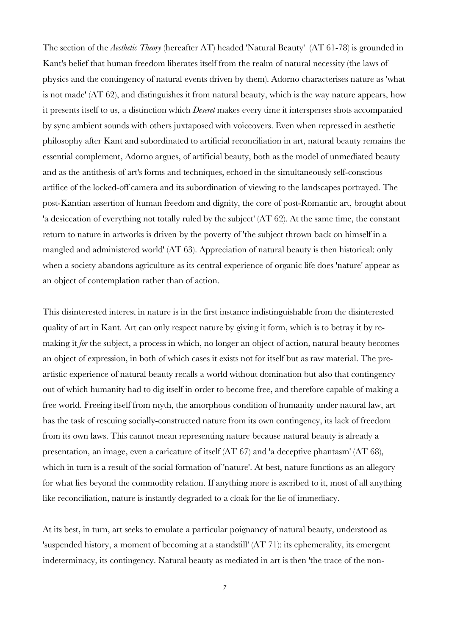The section of the *Aesthetic Theory* (hereafter AT) headed 'Natural Beauty' (AT 61-78) is grounded in Kant's belief that human freedom liberates itself from the realm of natural necessity (the laws of physics and the contingency of natural events driven by them). Adorno characterises nature as 'what is not made' (AT 62), and distinguishes it from natural beauty, which is the way nature appears, how it presents itself to us, a distinction which *Deseret* makes every time it intersperses shots accompanied by sync ambient sounds with others juxtaposed with voiceovers. Even when repressed in aesthetic philosophy after Kant and subordinated to artificial reconciliation in art, natural beauty remains the essential complement, Adorno argues, of artificial beauty, both as the model of unmediated beauty and as the antithesis of art's forms and techniques, echoed in the simultaneously self-conscious artifice of the locked-off camera and its subordination of viewing to the landscapes portrayed. The post-Kantian assertion of human freedom and dignity, the core of post-Romantic art, brought about 'a desiccation of everything not totally ruled by the subject' (AT 62). At the same time, the constant return to nature in artworks is driven by the poverty of 'the subject thrown back on himself in a mangled and administered world' (AT 63). Appreciation of natural beauty is then historical: only when a society abandons agriculture as its central experience of organic life does 'nature' appear as an object of contemplation rather than of action.

This disinterested interest in nature is in the first instance indistinguishable from the disinterested quality of art in Kant. Art can only respect nature by giving it form, which is to betray it by remaking it *for* the subject, a process in which, no longer an object of action, natural beauty becomes an object of expression, in both of which cases it exists not for itself but as raw material. The preartistic experience of natural beauty recalls a world without domination but also that contingency out of which humanity had to dig itself in order to become free, and therefore capable of making a free world. Freeing itself from myth, the amorphous condition of humanity under natural law, art has the task of rescuing socially-constructed nature from its own contingency, its lack of freedom from its own laws. This cannot mean representing nature because natural beauty is already a presentation, an image, even a caricature of itself (AT 67) and 'a deceptive phantasm' (AT 68), which in turn is a result of the social formation of 'nature'. At best, nature functions as an allegory for what lies beyond the commodity relation. If anything more is ascribed to it, most of all anything like reconciliation, nature is instantly degraded to a cloak for the lie of immediacy.

At its best, in turn, art seeks to emulate a particular poignancy of natural beauty, understood as 'suspended history, a moment of becoming at a standstill' (AT 71): its ephemerality, its emergent indeterminacy, its contingency. Natural beauty as mediated in art is then 'the trace of the non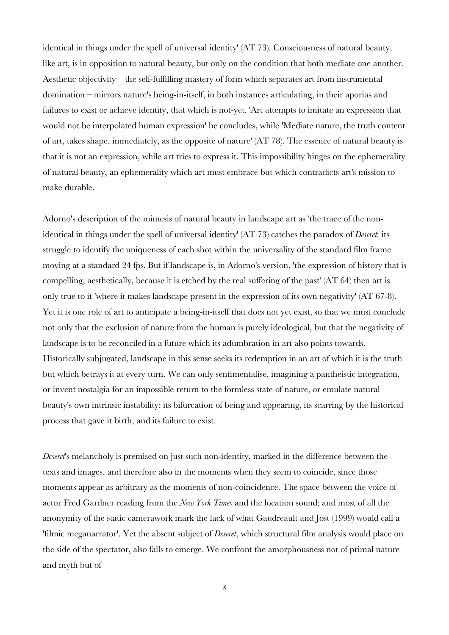identical in things under the spell of universal identity' (AT 73). Consciousness of natural beauty, like art, is in opposition to natural beauty, but only on the condition that both mediate one another. Aesthetic objectivity – the self-fulfilling mastery of form which separates art from instrumental domination – mirrors nature's being-in-itself, in both instances articulating, in their aporias and failures to exist or achieve identity, that which is not-yet. 'Art attempts to imitate an expression that would not be interpolated human expression' he concludes, while 'Mediate nature, the truth content of art, takes shape, immediately, as the opposite of nature' (AT 78). The essence of natural beauty is that it is not an expression, while art tries to express it. This impossibility hinges on the ephemerality of natural beauty, an ephemerality which art must embrace but which contradicts art's mission to make durable.

Adorno's description of the mimesis of natural beauty in landscape art as 'the trace of the nonidentical in things under the spell of universal identity' (AT 73) catches the paradox of *Deseret*: its struggle to identify the uniqueness of each shot within the universality of the standard film frame moving at a standard 24 fps. But if landscape is, in Adorno's version, 'the expression of history that is compelling, aesthetically, because it is etched by the real suffering of the past' (AT 64) then art is only true to it 'where it makes landscape present in the expression of its own negativity' (AT 67-8). Yet it is one role of art to anticipate a being-in-itself that does not yet exist, so that we must conclude not only that the exclusion of nature from the human is purely ideological, but that the negativity of landscape is to be reconciled in a future which its adumbration in art also points towards. Historically subjugated, landscape in this sense seeks its redemption in an art of which it is the truth but which betrays it at every turn. We can only sentimentalise, imagining a pantheistic integration, or invent nostalgia for an impossible return to the formless state of nature, or emulate natural beauty's own intrinsic instability: its bifurcation of being and appearing, its scarring by the historical process that gave it birth, and its failure to exist.

*Deseret*'s melancholy is premised on just such non-identity, marked in the difference between the texts and images, and therefore also in the moments when they seem to coincide, since those moments appear as arbitrary as the moments of non-coincidence. The space between the voice of actor Fred Gardner reading from the *New York Times* and the location sound; and most of all the anonymity of the static camerawork mark the lack of what Gaudreault and Jost (1999) would call a 'filmic meganarrator'. Yet the absent subject of *Deseret*, which structural film analysis would place on the side of the spectator, also fails to emerge. We confront the amorphousness not of primal nature and myth but of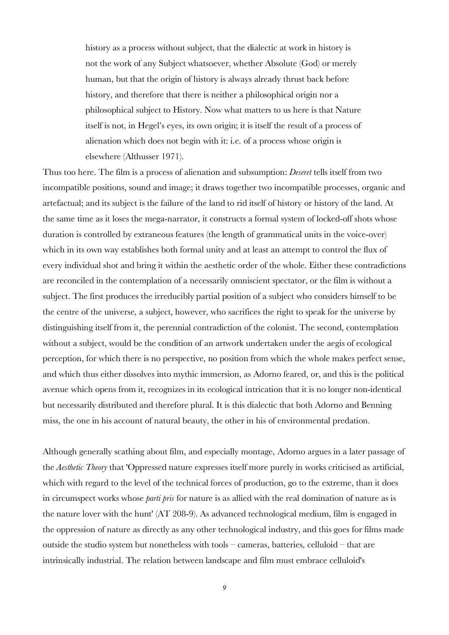history as a process without subject, that the dialectic at work in history is not the work of any Subject whatsoever, whether Absolute (God) or merely human, but that the origin of history is always already thrust back before history, and therefore that there is neither a philosophical origin nor a philosophical subject to History. Now what matters to us here is that Nature itself is not, in Hegel's eyes, its own origin; it is itself the result of a process of alienation which does not begin with it: i.e. of a process whose origin is elsewhere (Althusser 1971).

Thus too here. The film is a process of alienation and subsumption: *Deseret* tells itself from two incompatible positions, sound and image; it draws together two incompatible processes, organic and artefactual; and its subject is the failure of the land to rid itself of history or history of the land. At the same time as it loses the mega-narrator, it constructs a formal system of locked-off shots whose duration is controlled by extraneous features (the length of grammatical units in the voice-over) which in its own way establishes both formal unity and at least an attempt to control the flux of every individual shot and bring it within the aesthetic order of the whole. Either these contradictions are reconciled in the contemplation of a necessarily omniscient spectator, or the film is without a subject. The first produces the irreducibly partial position of a subject who considers himself to be the centre of the universe, a subject, however, who sacrifices the right to speak for the universe by distinguishing itself from it, the perennial contradiction of the colonist. The second, contemplation without a subject, would be the condition of an artwork undertaken under the aegis of ecological perception, for which there is no perspective, no position from which the whole makes perfect sense, and which thus either dissolves into mythic immersion, as Adorno feared, or, and this is the political avenue which opens from it, recognizes in its ecological intrication that it is no longer non-identical but necessarily distributed and therefore plural. It is this dialectic that both Adorno and Benning miss, the one in his account of natural beauty, the other in his of environmental predation.

Although generally scathing about film, and especially montage, Adorno argues in a later passage of the *Aesthetic Theory* that 'Oppressed nature expresses itself more purely in works criticised as artificial, which with regard to the level of the technical forces of production, go to the extreme, than it does in circumspect works whose *parti pris* for nature is as allied with the real domination of nature as is the nature lover with the hunt' (AT 208-9). As advanced technological medium, film is engaged in the oppression of nature as directly as any other technological industry, and this goes for films made outside the studio system but nonetheless with tools – cameras, batteries, celluloid – that are intrinsically industrial. The relation between landscape and film must embrace celluloid's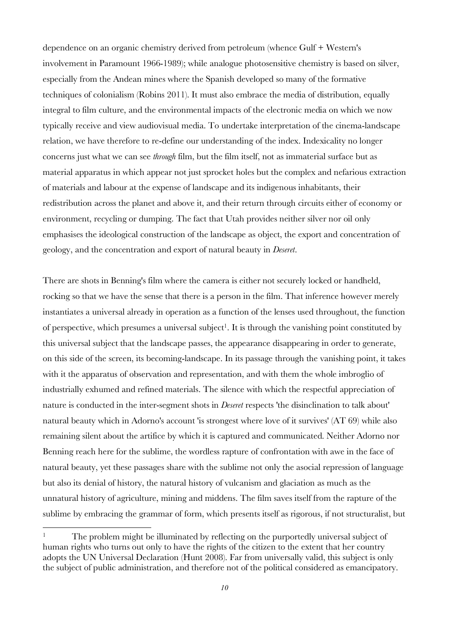dependence on an organic chemistry derived from petroleum (whence Gulf + Western's involvement in Paramount 1966-1989); while analogue photosensitive chemistry is based on silver, especially from the Andean mines where the Spanish developed so many of the formative techniques of colonialism (Robins 2011). It must also embrace the media of distribution, equally integral to film culture, and the environmental impacts of the electronic media on which we now typically receive and view audiovisual media. To undertake interpretation of the cinema-landscape relation, we have therefore to re-define our understanding of the index. Indexicality no longer concerns just what we can see *through* film, but the film itself, not as immaterial surface but as material apparatus in which appear not just sprocket holes but the complex and nefarious extraction of materials and labour at the expense of landscape and its indigenous inhabitants, their redistribution across the planet and above it, and their return through circuits either of economy or environment, recycling or dumping. The fact that Utah provides neither silver nor oil only emphasises the ideological construction of the landscape as object, the export and concentration of geology, and the concentration and export of natural beauty in *Deseret*.

There are shots in Benning's film where the camera is either not securely locked or handheld, rocking so that we have the sense that there is a person in the film. That inference however merely instantiates a universal already in operation as a function of the lenses used throughout, the function of perspective, which presumes a universal subject<sup>1</sup>. It is through the vanishing point constituted by this universal subject that the landscape passes, the appearance disappearing in order to generate, on this side of the screen, its becoming-landscape. In its passage through the vanishing point, it takes with it the apparatus of observation and representation, and with them the whole imbroglio of industrially exhumed and refined materials. The silence with which the respectful appreciation of nature is conducted in the inter-segment shots in *Deseret* respects 'the disinclination to talk about' natural beauty which in Adorno's account 'is strongest where love of it survives' (AT 69) while also remaining silent about the artifice by which it is captured and communicated. Neither Adorno nor Benning reach here for the sublime, the wordless rapture of confrontation with awe in the face of natural beauty, yet these passages share with the sublime not only the asocial repression of language but also its denial of history, the natural history of vulcanism and glaciation as much as the unnatural history of agriculture, mining and middens. The film saves itself from the rapture of the sublime by embracing the grammar of form, which presents itself as rigorous, if not structuralist, but

 $\overline{a}$ 

<sup>&</sup>lt;sup>1</sup> The problem might be illuminated by reflecting on the purportedly universal subject of human rights who turns out only to have the rights of the citizen to the extent that her country adopts the UN Universal Declaration (Hunt 2008). Far from universally valid, this subject is only the subject of public administration, and therefore not of the political considered as emancipatory.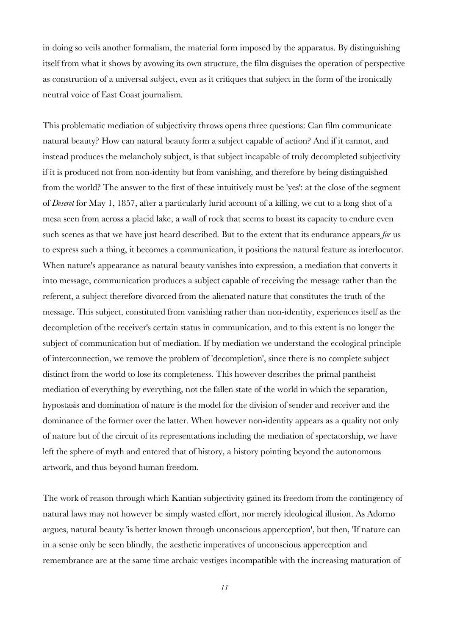in doing so veils another formalism, the material form imposed by the apparatus. By distinguishing itself from what it shows by avowing its own structure, the film disguises the operation of perspective as construction of a universal subject, even as it critiques that subject in the form of the ironically neutral voice of East Coast journalism.

This problematic mediation of subjectivity throws opens three questions: Can film communicate natural beauty? How can natural beauty form a subject capable of action? And if it cannot, and instead produces the melancholy subject, is that subject incapable of truly decompleted subjectivity if it is produced not from non-identity but from vanishing, and therefore by being distinguished from the world? The answer to the first of these intuitively must be 'yes': at the close of the segment of *Deseret* for May 1, 1857, after a particularly lurid account of a killing, we cut to a long shot of a mesa seen from across a placid lake, a wall of rock that seems to boast its capacity to endure even such scenes as that we have just heard described. But to the extent that its endurance appears *for* us to express such a thing, it becomes a communication, it positions the natural feature as interlocutor. When nature's appearance as natural beauty vanishes into expression, a mediation that converts it into message, communication produces a subject capable of receiving the message rather than the referent, a subject therefore divorced from the alienated nature that constitutes the truth of the message. This subject, constituted from vanishing rather than non-identity, experiences itself as the decompletion of the receiver's certain status in communication, and to this extent is no longer the subject of communication but of mediation. If by mediation we understand the ecological principle of interconnection, we remove the problem of 'decompletion', since there is no complete subject distinct from the world to lose its completeness. This however describes the primal pantheist mediation of everything by everything, not the fallen state of the world in which the separation, hypostasis and domination of nature is the model for the division of sender and receiver and the dominance of the former over the latter. When however non-identity appears as a quality not only of nature but of the circuit of its representations including the mediation of spectatorship, we have left the sphere of myth and entered that of history, a history pointing beyond the autonomous artwork, and thus beyond human freedom.

The work of reason through which Kantian subjectivity gained its freedom from the contingency of natural laws may not however be simply wasted effort, nor merely ideological illusion. As Adorno argues, natural beauty 'is better known through unconscious apperception', but then, 'If nature can in a sense only be seen blindly, the aesthetic imperatives of unconscious apperception and remembrance are at the same time archaic vestiges incompatible with the increasing maturation of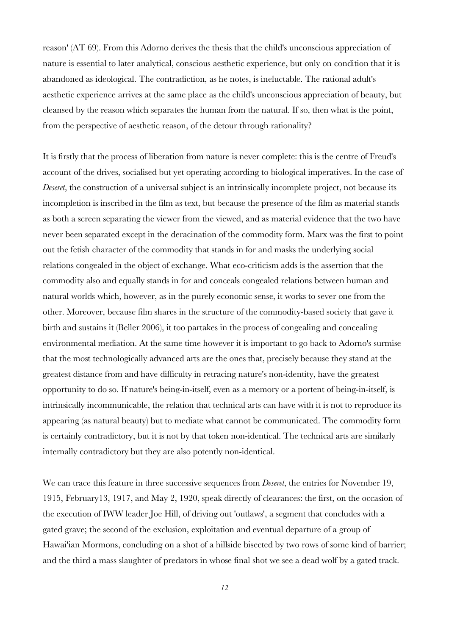reason' (AT 69). From this Adorno derives the thesis that the child's unconscious appreciation of nature is essential to later analytical, conscious aesthetic experience, but only on condition that it is abandoned as ideological. The contradiction, as he notes, is ineluctable. The rational adult's aesthetic experience arrives at the same place as the child's unconscious appreciation of beauty, but cleansed by the reason which separates the human from the natural. If so, then what is the point, from the perspective of aesthetic reason, of the detour through rationality?

It is firstly that the process of liberation from nature is never complete: this is the centre of Freud's account of the drives, socialised but yet operating according to biological imperatives. In the case of *Deseret*, the construction of a universal subject is an intrinsically incomplete project, not because its incompletion is inscribed in the film as text, but because the presence of the film as material stands as both a screen separating the viewer from the viewed, and as material evidence that the two have never been separated except in the deracination of the commodity form. Marx was the first to point out the fetish character of the commodity that stands in for and masks the underlying social relations congealed in the object of exchange. What eco-criticism adds is the assertion that the commodity also and equally stands in for and conceals congealed relations between human and natural worlds which, however, as in the purely economic sense, it works to sever one from the other. Moreover, because film shares in the structure of the commodity-based society that gave it birth and sustains it (Beller 2006), it too partakes in the process of congealing and concealing environmental mediation. At the same time however it is important to go back to Adorno's surmise that the most technologically advanced arts are the ones that, precisely because they stand at the greatest distance from and have difficulty in retracing nature's non-identity, have the greatest opportunity to do so. If nature's being-in-itself, even as a memory or a portent of being-in-itself, is intrinsically incommunicable, the relation that technical arts can have with it is not to reproduce its appearing (as natural beauty) but to mediate what cannot be communicated. The commodity form is certainly contradictory, but it is not by that token non-identical. The technical arts are similarly internally contradictory but they are also potently non-identical.

We can trace this feature in three successive sequences from *Deseret*, the entries for November 19, 1915, February13, 1917, and May 2, 1920, speak directly of clearances: the first, on the occasion of the execution of IWW leader Joe Hill, of driving out 'outlaws', a segment that concludes with a gated grave; the second of the exclusion, exploitation and eventual departure of a group of Hawai'ian Mormons, concluding on a shot of a hillside bisected by two rows of some kind of barrier; and the third a mass slaughter of predators in whose final shot we see a dead wolf by a gated track.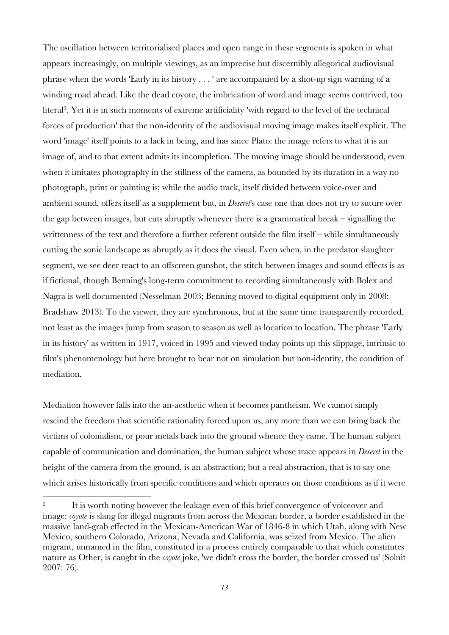The oscillation between territorialised places and open range in these segments is spoken in what appears increasingly, on multiple viewings, as an imprecise but discernibly allegorical audiovisual phrase when the words 'Early in its history . . . ' are accompanied by a shot-up sign warning of a winding road ahead. Like the dead coyote, the imbrication of word and image seems contrived, too literal2. Yet it is in such moments of extreme artificiality 'with regard to the level of the technical forces of production' that the non-identity of the audiovisual moving image makes itself explicit. The word 'image' itself points to a lack in being, and has since Plato: the image refers to what it is an image of, and to that extent admits its incompletion. The moving image should be understood, even when it imitates photography in the stillness of the camera, as bounded by its duration in a way no photograph, print or painting is; while the audio track, itself divided between voice-over and ambient sound, offers itself as a supplement but, in *Deseret*'s case one that does not try to suture over the gap between images, but cuts abruptly whenever there is a grammatical break – signalling the writtenness of the text and therefore a further referent outside the film itself – while simultaneously cutting the sonic landscape as abruptly as it does the visual. Even when, in the predator slaughter segment, we see deer react to an offscreen gunshot, the stitch between images and sound effects is as if fictional, though Benning's long-term commitment to recording simultaneously with Bolex and Nagra is well documented (Nesselman 2003; Benning moved to digital equipment only in 2008: Bradshaw 2013). To the viewer, they are synchronous, but at the same time transparently recorded, not least as the images jump from season to season as well as location to location. The phrase 'Early in its history' as written in 1917, voiced in 1995 and viewed today points up this slippage, intrinsic to film's phenomenology but here brought to bear not on simulation but non-identity, the condition of mediation.

Mediation however falls into the an-aesthetic when it becomes pantheism. We cannot simply rescind the freedom that scientific rationality forced upon us, any more than we can bring back the victims of colonialism, or pour metals back into the ground whence they came. The human subject capable of communication and domination, the human subject whose trace appears in *Deseret* in the height of the camera from the ground, is an abstraction; but a real abstraction, that is to say one which arises historically from specific conditions and which operates on those conditions as if it were

 $\overline{\phantom{a}}$ 

<sup>&</sup>lt;sup>2</sup> It is worth noting however the leakage even of this brief convergence of voiceover and image: *coyote* is slang for illegal migrants from across the Mexican border, a border established in the massive land-grab effected in the Mexican-American War of 1846-8 in which Utah, along with New Mexico, southern Colorado, Arizona, Nevada and California, was seized from Mexico. The alien migrant, unnamed in the film, constituted in a process entirely comparable to that which constitutes nature as Other, is caught in the *coyote* joke, 'we didn't cross the border, the border crossed us' (Solnit 2007: 76).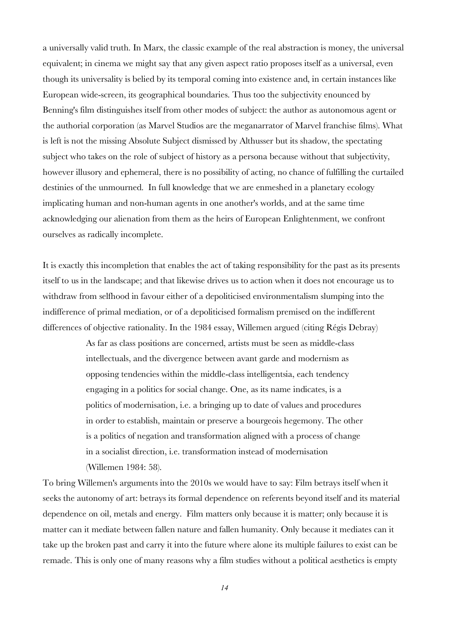a universally valid truth. In Marx, the classic example of the real abstraction is money, the universal equivalent; in cinema we might say that any given aspect ratio proposes itself as a universal, even though its universality is belied by its temporal coming into existence and, in certain instances like European wide-screen, its geographical boundaries. Thus too the subjectivity enounced by Benning's film distinguishes itself from other modes of subject: the author as autonomous agent or the authorial corporation (as Marvel Studios are the meganarrator of Marvel franchise films). What is left is not the missing Absolute Subject dismissed by Althusser but its shadow, the spectating subject who takes on the role of subject of history as a persona because without that subjectivity, however illusory and ephemeral, there is no possibility of acting, no chance of fulfilling the curtailed destinies of the unmourned. In full knowledge that we are enmeshed in a planetary ecology implicating human and non-human agents in one another's worlds, and at the same time acknowledging our alienation from them as the heirs of European Enlightenment, we confront ourselves as radically incomplete.

It is exactly this incompletion that enables the act of taking responsibility for the past as its presents itself to us in the landscape; and that likewise drives us to action when it does not encourage us to withdraw from selfhood in favour either of a depoliticised environmentalism slumping into the indifference of primal mediation, or of a depoliticised formalism premised on the indifferent differences of objective rationality. In the 1984 essay, Willemen argued (citing Régis Debray)

> As far as class positions are concerned, artists must be seen as middle-class intellectuals, and the divergence between avant garde and modernism as opposing tendencies within the middle-class intelligentsia, each tendency engaging in a politics for social change. One, as its name indicates, is a politics of modernisation, i.e. a bringing up to date of values and procedures in order to establish, maintain or preserve a bourgeois hegemony. The other is a politics of negation and transformation aligned with a process of change in a socialist direction, i.e. transformation instead of modernisation (Willemen 1984: 58).

To bring Willemen's arguments into the 2010s we would have to say: Film betrays itself when it seeks the autonomy of art: betrays its formal dependence on referents beyond itself and its material dependence on oil, metals and energy. Film matters only because it is matter; only because it is matter can it mediate between fallen nature and fallen humanity. Only because it mediates can it take up the broken past and carry it into the future where alone its multiple failures to exist can be remade. This is only one of many reasons why a film studies without a political aesthetics is empty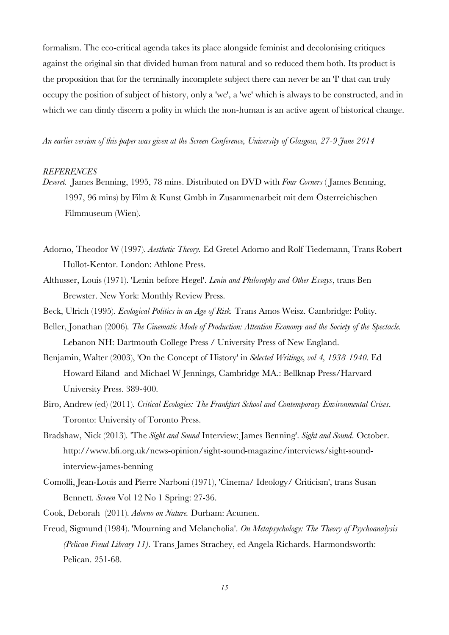formalism. The eco-critical agenda takes its place alongside feminist and decolonising critiques against the original sin that divided human from natural and so reduced them both. Its product is the proposition that for the terminally incomplete subject there can never be an 'I' that can truly occupy the position of subject of history, only a 'we', a 'we' which is always to be constructed, and in which we can dimly discern a polity in which the non-human is an active agent of historical change.

*An earlier version of this paper was given at the Screen Conference, University of Glasgow, 27-9 June 2014*

## *REFERENCES*

- *Deseret.* James Benning, 1995, 78 mins. Distributed on DVD with *Four Corners* ( James Benning, 1997, 96 mins) by Film & Kunst Gmbh in Zusammenarbeit mit dem Österreichischen Filmmuseum (Wien).
- Adorno, Theodor W (1997). *Aesthetic Theory.* Ed Gretel Adorno and Rolf Tiedemann, Trans Robert Hullot-Kentor. London: Athlone Press.
- Althusser, Louis (1971). 'Lenin before Hegel'. *Lenin and Philosophy and Other Essays*, trans Ben Brewster. New York: Monthly Review Press.
- Beck, Ulrich (1995). *Ecological Politics in an Age of Risk.* Trans Amos Weisz. Cambridge: Polity.
- Beller, Jonathan (2006). *The Cinematic Mode of Production: Attention Economy and the Society of the Spectacle.* Lebanon NH: Dartmouth College Press / University Press of New England.
- Benjamin, Walter (2003), 'On the Concept of History' in *Selected Writings, vol 4, 1938-1940*. Ed Howard Eiland and Michael W Jennings, Cambridge MA.: Bellknap Press/Harvard University Press. 389-400.
- Biro, Andrew (ed) (2011). *Critical Ecologies: The Frankfurt School and Contemporary Environmental Crises*. Toronto: University of Toronto Press.
- Bradshaw, Nick (2013). 'The *Sight and Sound* Interview: James Benning'. *Sight and Sound*. October. http://www.bfi.org.uk/news-opinion/sight-sound-magazine/interviews/sight-soundinterview-james-benning
- Comolli, Jean-Louis and Pierre Narboni (1971), 'Cinema/ Ideology/ Criticism', trans Susan Bennett. *Screen* Vol 12 No 1 Spring: 27-36.
- Cook, Deborah (2011). *Adorno on Nature.* Durham: Acumen.
- Freud, Sigmund (1984). 'Mourning and Melancholia'. *On Metapsychology: The Theory of Psychoanalysis (Pelican Freud Library 11)*. Trans James Strachey, ed Angela Richards. Harmondsworth: Pelican. 251-68.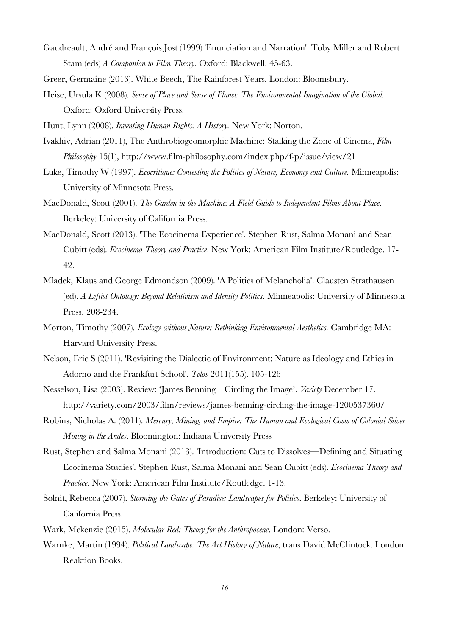- Gaudreault, André and François Jost (1999) 'Enunciation and Narration'. Toby Miller and Robert Stam (eds) *A Companion to Film Theory.* Oxford: Blackwell. 45-63.
- Greer, Germaine (2013). White Beech, The Rainforest Years. London: Bloomsbury.
- Heise, Ursula K (2008). *Sense of Place and Sense of Planet: The Environmental Imagination of the Global.* Oxford: Oxford University Press.
- Hunt, Lynn (2008). *Inventing Human Rights: A History.* New York: Norton.
- Ivakhiv, Adrian (2011), The Anthrobiogeomorphic Machine: Stalking the Zone of Cinema, *Film Philosophy* 15(1), http://www.film-philosophy.com/index.php/f-p/issue/view/21
- Luke, Timothy W (1997). *Ecocritique: Contesting the Politics of Nature, Economy and Culture.* Minneapolis: University of Minnesota Press.
- MacDonald, Scott (2001). *The Garden in the Machine: A Field Guide to Independent Films About Place*. Berkeley: University of California Press.
- MacDonald, Scott (2013). 'The Ecocinema Experience'. Stephen Rust, Salma Monani and Sean Cubitt (eds). *Ecocinema Theory and Practice*. New York: American Film Institute/Routledge. 17- 42.
- Mladek, Klaus and George Edmondson (2009). 'A Politics of Melancholia'. Clausten Strathausen (ed). *A Leftist Ontology: Beyond Relativism and Identity Politics*. Minneapolis: University of Minnesota Press. 208-234.
- Morton, Timothy (2007). *Ecology without Nature: Rethinking Environmental Aesthetics.* Cambridge MA: Harvard University Press.
- Nelson, Eric S (2011). 'Revisiting the Dialectic of Environment: Nature as Ideology and Ethics in Adorno and the Frankfurt School'. *Telos* 2011(155). 105-126
- Nesselson, Lisa (2003). Review: 'James Benning Circling the Image'. *Variety* December 17. http://variety.com/2003/film/reviews/james-benning-circling-the-image-1200537360/
- Robins, Nicholas A. (2011). *Mercury, Mining, and Empire: The Human and Ecological Costs of Colonial Silver Mining in the Andes*. Bloomington: Indiana University Press
- Rust, Stephen and Salma Monani (2013). 'Introduction: Cuts to Dissolves—Defining and Situating Ecocinema Studies'. Stephen Rust, Salma Monani and Sean Cubitt (eds). *Ecocinema Theory and Practice*. New York: American Film Institute/Routledge. 1-13.
- Solnit, Rebecca (2007). *Storming the Gates of Paradise: Landscapes for Politics*. Berkeley: University of California Press.
- Wark, Mckenzie (2015). *Molecular Red: Theory for the Anthropocene*. London: Verso.
- Warnke, Martin (1994). *Political Landscape: The Art History of Nature*, trans David McClintock. London: Reaktion Books.